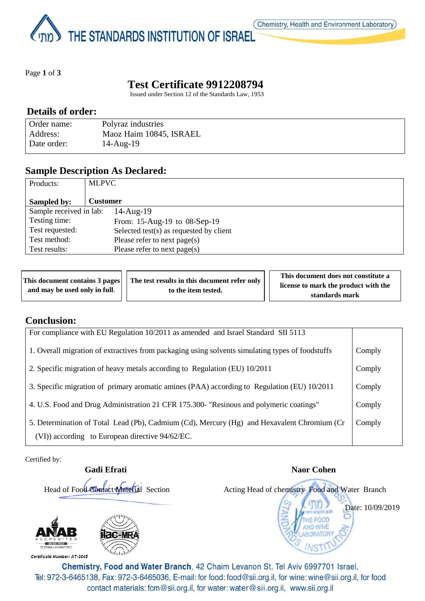THE STANDARDS INSTITUTION OF ISRAEL

Page **1** of **3**

# **Test Certificate 9912208794**

Issued under Section 12 of the Standards Law, 1953

### **Details of order:**

| Order name: | Polyraz industries      |
|-------------|-------------------------|
| Address:    | Maoz Haim 10845, ISRAEL |
| Date order: | $14$ -Aug- $19$         |

### **Sample Description As Declared:**

| Products:               | <b>MLPVC</b>                               |
|-------------------------|--------------------------------------------|
| Sampled by:             | <b>Customer</b>                            |
| Sample received in lab: | $14$ -Aug- $19$                            |
| Testing time:           | From: 15-Aug-19 to 08-Sep-19               |
| Test requested:         | Selected test $(s)$ as requested by client |
| Test method:            | Please refer to next page(s)               |
| Test results:           | Please refer to next page(s)               |

|                               | This document contains 3 pages     The test results in this document refer only | This document does not constitute a  |
|-------------------------------|---------------------------------------------------------------------------------|--------------------------------------|
| and may be used only in full. | to the item tested.                                                             | license to mark the product with the |
|                               |                                                                                 | standards mark                       |

## **Conclusion:**

| For compliance with EU Regulation 10/2011 as amended and Israel Standard SII 5113                                                              |        |
|------------------------------------------------------------------------------------------------------------------------------------------------|--------|
| 1. Overall migration of extractives from packaging using solvents simulating types of foodstuffs                                               | Comply |
| 2. Specific migration of heavy metals according to Regulation (EU) 10/2011                                                                     | Comply |
| 3. Specific migration of primary aromatic amines (PAA) according to Regulation (EU) 10/2011                                                    | Comply |
| 4. U.S. Food and Drug Administration 21 CFR 175.300- "Resinous and polymeric coatings"                                                         | Comply |
| 5. Determination of Total Lead (Pb), Cadmium (Cd), Mercury (Hg) and Hexavalent Chromium (Cr<br>(VI)) according to European directive 94/62/EC. | Comply |

Certified by:

**Gadi Efrati** Naor Cohen



Certificate Number: AT-2045





Chemistry, Food and Water Branch, 42 Chaim Levanon St, Tel Aviv 6997701 Israel, Tel: 972-3-6465138, Fax: 972-3-6465036, E-mail: for food: food@sii.org.il, for wine: wine@sii.org.il, for food contact materials: fcm@sii.org.il, for water: water@sii.org.il, www.sii.org.il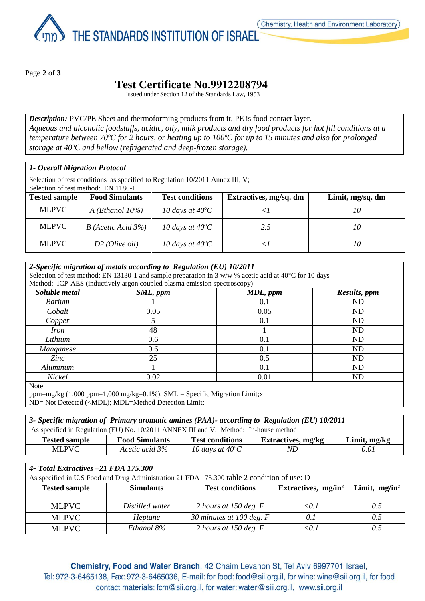THE STANDARDS INSTITUTION OF ISRAEL

Page **2** of **3**

## **Test Certificate No.9912208794**

Issued under Section 12 of the Standards Law, 1953

*Description:* PVC/PE Sheet and thermoforming products from it, PE is food contact layer. *Aqueous and alcoholic foodstuffs, acidic, oily, milk products and dry food products for hot fill conditions at a temperature between 70ºC for 2 hours, or heating up to 100ºC for up to 15 minutes and also for prolonged storage at 40ºC and bellow (refrigerated and deep-frozen storage).*

#### *1- Overall Migration Protocol*

Selection of test conditions as specified to Regulation 10/2011 Annex III, V; Selection of test method: EN 1186-1

| <b>Tested sample</b> | <b>Food Simulants</b>     | <b>Test conditions</b>    | Extractives, mg/sq. dm | Limit, mg/sq. dm |
|----------------------|---------------------------|---------------------------|------------------------|------------------|
| <b>MLPVC</b>         | $A$ ( <i>Ethanol</i> 10%) | 10 days at $40^{\circ}$ C |                        | 10               |
| <b>MLPVC</b>         | $B$ (Acetic Acid 3%)      | 10 days at $40^{\circ}$ C | 2.5                    | 10               |
| MLPVC                | $D2$ (Olive oil)          | 10 days at $40^{\circ}$ C |                        | 10               |

| 2-Specific migration of metals according to Regulation (EU) 10/2011                                              |                                                                          |          |                |  |  |
|------------------------------------------------------------------------------------------------------------------|--------------------------------------------------------------------------|----------|----------------|--|--|
| Selection of test method: EN 13130-1 and sample preparation in 3 w/w % acetic acid at 40 $\degree$ C for 10 days |                                                                          |          |                |  |  |
|                                                                                                                  | Method: ICP-AES (inductively argon coupled plasma emission spectroscopy) |          |                |  |  |
| Soluble metal                                                                                                    | SML, ppm                                                                 | MDL, ppm | Results, ppm   |  |  |
| <b>Barium</b>                                                                                                    |                                                                          | 0.1      | ND             |  |  |
| Cobalt                                                                                                           | 0.05                                                                     | 0.05     | ND             |  |  |
| Copper                                                                                                           |                                                                          | 0.1      | ND.            |  |  |
| <i>Iron</i>                                                                                                      | 48                                                                       |          | ND             |  |  |
| Lithium                                                                                                          | 0.6                                                                      | 0.1      | N <sub>D</sub> |  |  |
| Manganese                                                                                                        | 0.6                                                                      | 0.1      | ND             |  |  |
| Zinc                                                                                                             | 25                                                                       | 0.5      | ND             |  |  |
| Aluminum                                                                                                         |                                                                          | 0.1      | ND             |  |  |
| Nickel                                                                                                           | 0.02                                                                     | 0.01     | ND             |  |  |

Note:

ppm=mg/kg (1,000 ppm=1,000 mg/kg=0.1%); SML = Specific Migration Limit;x ND= Not Detected (<MDL); MDL=Method Detection Limit;

| 3- Specific migration of Primary aromatic amines (PAA)- according to Regulation (EU) 10/2011                  |                |                           |     |      |  |  |
|---------------------------------------------------------------------------------------------------------------|----------------|---------------------------|-----|------|--|--|
| As specified in Regulation (EU) No. 10/2011 ANNEX III and V. Method: In-house method                          |                |                           |     |      |  |  |
| <b>Test conditions</b><br><b>Food Simulants</b><br>Extractives, mg/kg<br>Limit, mg/kg<br><b>Tested sample</b> |                |                           |     |      |  |  |
| MLPVC -                                                                                                       | Acetic acid 3% | 10 days at $40^{\circ}$ C | ND. | 0.01 |  |  |

#### *4- Total Extractives –21 FDA 175.300*

As specified in U.S Food and Drug Administration 21 FDA 175.300 table 2 condition of use: D

| <b>Tested sample</b> | <b>Simulants</b> | <b>Test conditions</b>     | Extractives, $mg/in^2$ | Limit, $mg/in^2$ |
|----------------------|------------------|----------------------------|------------------------|------------------|
| <b>MLPVC</b>         | Distilled water  | 2 hours at 150 deg. $F$    | <0.1                   | 0.5              |
| <b>MLPVC</b>         | Heptane          | 30 minutes at 100 deg. $F$ | 0.1                    | 0.5              |
| <b>MLPVC</b>         | Ethanol 8%       | 2 hours at 150 deg. $F$    | <0.1                   |                  |

Chemistry, Food and Water Branch, 42 Chaim Levanon St, Tel Aviv 6997701 Israel, Tel: 972-3-6465138, Fax: 972-3-6465036, E-mail: for food: food@sii.org.il, for wine: wine@sii.org.il, for food contact materials: fcm@sii.org.il, for water: water@sii.org.il, www.sii.org.il